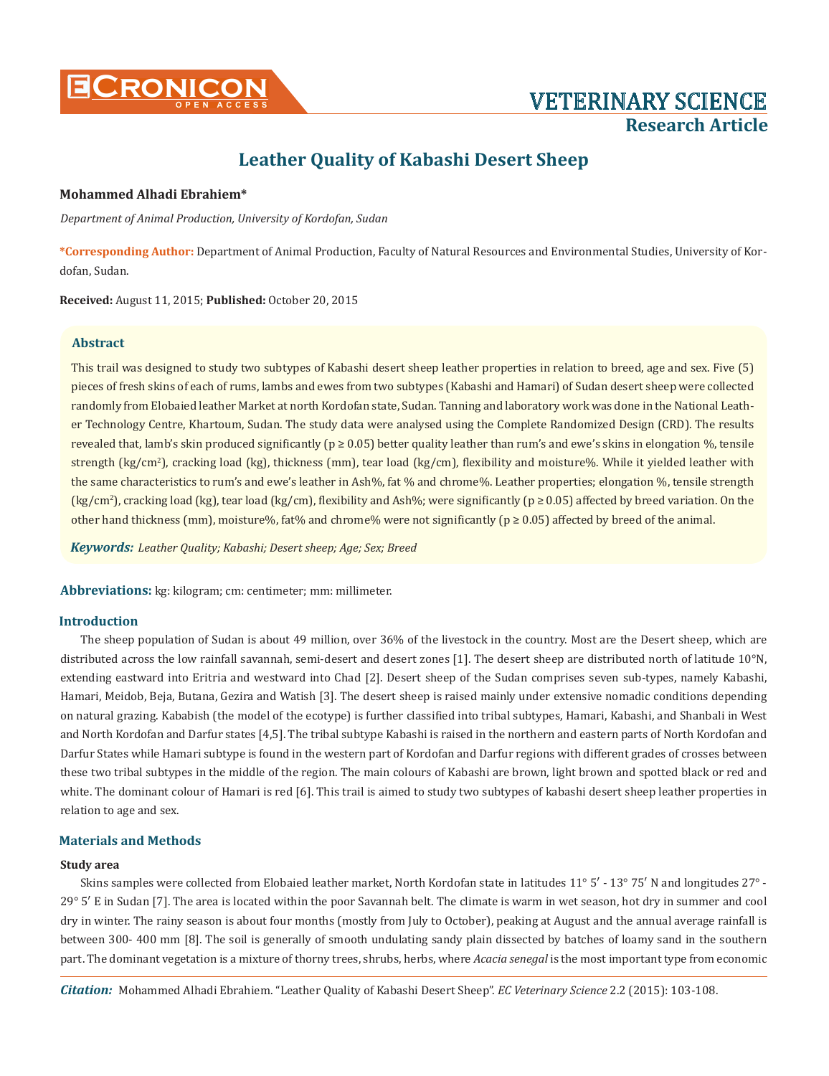

# **Research Article**

# **Leather Quality of Kabashi Desert Sheep**

# **Mohammed Alhadi Ebrahiem\***

*Department of Animal Production, University of Kordofan, Sudan*

**\*Corresponding Author:** Department of Animal Production, Faculty of Natural Resources and Environmental Studies, University of Kordofan, Sudan.

**Received:** August 11, 2015; **Published:** October 20, 2015

# **Abstract**

This trail was designed to study two subtypes of Kabashi desert sheep leather properties in relation to breed, age and sex. Five (5) pieces of fresh skins of each of rums, lambs and ewes from two subtypes (Kabashi and Hamari) of Sudan desert sheep were collected randomly from Elobaied leather Market at north Kordofan state, Sudan. Tanning and laboratory work was done in the National Leather Technology Centre, Khartoum, Sudan. The study data were analysed using the Complete Randomized Design (CRD). The results revealed that, lamb's skin produced significantly ( $p \ge 0.05$ ) better quality leather than rum's and ewe's skins in elongation %, tensile strength (kg/cm²), cracking load (kg), thickness (mm), tear load (kg/cm), flexibility and moisture%. While it yielded leather with the same characteristics to rum's and ewe's leather in Ash%, fat % and chrome%. Leather properties; elongation %, tensile strength (kg/cm<sup>2</sup>), cracking load (kg), tear load (kg/cm), flexibility and Ash%; were significantly (p  $\geq 0.05$ ) affected by breed variation. On the other hand thickness (mm), moisture%, fat% and chrome% were not significantly ( $p \ge 0.05$ ) affected by breed of the animal.

*Keywords: Leather Quality; Kabashi; Desert sheep; Age; Sex; Breed*

**Abbreviations:** kg: kilogram; cm: centimeter; mm: millimeter.

## **Introduction**

The sheep population of Sudan is about 49 million, over 36% of the livestock in the country. Most are the Desert sheep, which are distributed across the low rainfall savannah, semi-desert and desert zones [1]. The desert sheep are distributed north of latitude 10°N, extending eastward into Eritria and westward into Chad [2]. Desert sheep of the Sudan comprises seven sub-types, namely Kabashi, Hamari, Meidob, Beja, Butana, Gezira and Watish [3]. The desert sheep is raised mainly under extensive nomadic conditions depending on natural grazing. Kababish (the model of the ecotype) is further classified into tribal subtypes, Hamari, Kabashi, and Shanbali in West and North Kordofan and Darfur states [4,5]. The tribal subtype Kabashi is raised in the northern and eastern parts of North Kordofan and Darfur States while Hamari subtype is found in the western part of Kordofan and Darfur regions with different grades of crosses between these two tribal subtypes in the middle of the region. The main colours of Kabashi are brown, light brown and spotted black or red and white. The dominant colour of Hamari is red [6]. This trail is aimed to study two subtypes of kabashi desert sheep leather properties in relation to age and sex.

# **Materials and Methods**

#### **Study area**

Skins samples were collected from Elobaied leather market, North Kordofan state in latitudes 11° 5′ - 13° 75′ N and longitudes 27° - 29° 5′ E in Sudan [7]. The area is located within the poor Savannah belt. The climate is warm in wet season, hot dry in summer and cool dry in winter. The rainy season is about four months (mostly from July to October), peaking at August and the annual average rainfall is between 300- 400 mm [8]. The soil is generally of smooth undulating sandy plain dissected by batches of loamy sand in the southern part. The dominant vegetation is a mixture of thorny trees, shrubs, herbs, where *Acacia senegal* is the most important type from economic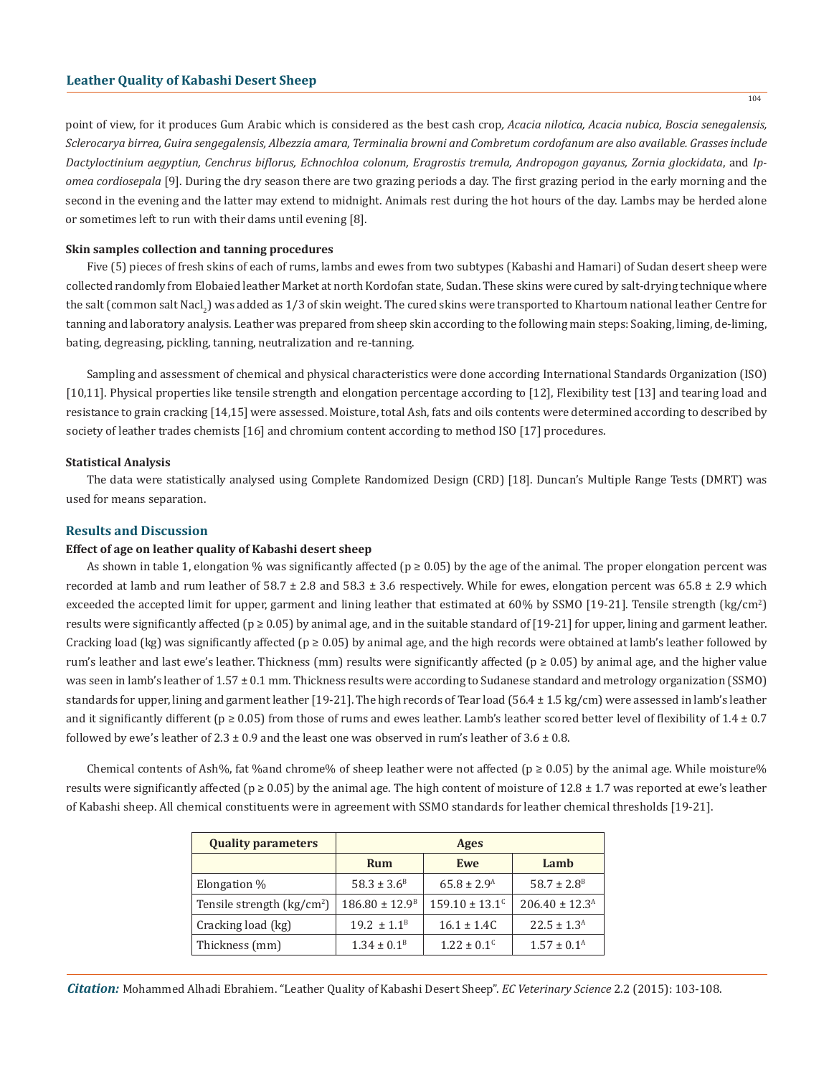#### **Leather Quality of Kabashi Desert Sheep**

point of view, for it produces Gum Arabic which is considered as the best cash crop*, Acacia nilotica, Acacia nubica, Boscia senegalensis, Sclerocarya birrea, Guira sengegalensis, Albezzia amara, Terminalia browni and Combretum cordofanum are also available. Grasses include Dactyloctinium aegyptiun, Cenchrus biflorus, Echnochloa colonum, Eragrostis tremula, Andropogon gayanus, Zornia glockidata*, and *Ipomea cordiosepala* [9]. During the dry season there are two grazing periods a day. The first grazing period in the early morning and the second in the evening and the latter may extend to midnight. Animals rest during the hot hours of the day. Lambs may be herded alone or sometimes left to run with their dams until evening [8].

#### **Skin samples collection and tanning procedures**

Five (5) pieces of fresh skins of each of rums, lambs and ewes from two subtypes (Kabashi and Hamari) of Sudan desert sheep were collected randomly from Elobaied leather Market at north Kordofan state, Sudan. These skins were cured by salt-drying technique where the salt (common salt Nacl<sub>2</sub>) was added as 1/3 of skin weight. The cured skins were transported to Khartoum national leather Centre for tanning and laboratory analysis. Leather was prepared from sheep skin according to the following main steps: Soaking, liming, de-liming, bating, degreasing, pickling, tanning, neutralization and re-tanning.

Sampling and assessment of chemical and physical characteristics were done according International Standards Organization (ISO) [10,11]. Physical properties like tensile strength and elongation percentage according to [12], Flexibility test [13] and tearing load and resistance to grain cracking [14,15] were assessed. Moisture, total Ash, fats and oils contents were determined according to described by society of leather trades chemists [16] and chromium content according to method ISO [17] procedures.

#### **Statistical Analysis**

The data were statistically analysed using Complete Randomized Design (CRD) [18]. Duncan's Multiple Range Tests (DMRT) was used for means separation.

# **Results and Discussion**

#### **Effect of age on leather quality of Kabashi desert sheep**

As shown in table 1, elongation % was significantly affected ( $p \ge 0.05$ ) by the age of the animal. The proper elongation percent was recorded at lamb and rum leather of  $58.7 \pm 2.8$  and  $58.3 \pm 3.6$  respectively. While for ewes, elongation percent was  $65.8 \pm 2.9$  which exceeded the accepted limit for upper, garment and lining leather that estimated at 60% by SSMO [19-21]. Tensile strength (kg/cm<sup>2</sup>) results were significantly affected ( $p \ge 0.05$ ) by animal age, and in the suitable standard of [19-21] for upper, lining and garment leather. Cracking load (kg) was significantly affected ( $p \ge 0.05$ ) by animal age, and the high records were obtained at lamb's leather followed by rum's leather and last ewe's leather. Thickness (mm) results were significantly affected ( $p \ge 0.05$ ) by animal age, and the higher value was seen in lamb's leather of 1.57 ± 0.1 mm. Thickness results were according to Sudanese standard and metrology organization (SSMO) standards for upper, lining and garment leather [19-21]. The high records of Tear load (56.4 ± 1.5 kg/cm) were assessed in lamb's leather and it significantly different ( $p \ge 0.05$ ) from those of rums and ewes leather. Lamb's leather scored better level of flexibility of 1.4  $\pm$  0.7 followed by ewe's leather of 2.3  $\pm$  0.9 and the least one was observed in rum's leather of 3.6  $\pm$  0.8.

Chemical contents of Ash%, fat %and chrome% of sheep leather were not affected ( $p \ge 0.05$ ) by the animal age. While moisture% results were significantly affected ( $p \ge 0.05$ ) by the animal age. The high content of moisture of 12.8 ± 1.7 was reported at ewe's leather of Kabashi sheep. All chemical constituents were in agreement with SSMO standards for leather chemical thresholds [19-21].

| <b>Quality parameters</b>                        | Ages                           |                             |                              |
|--------------------------------------------------|--------------------------------|-----------------------------|------------------------------|
|                                                  | <b>Rum</b>                     | Ewe                         | Lamb                         |
| Elongation %                                     | $58.3 \pm 3.6^{\circ}$         | $65.8 \pm 2.9^{\text{A}}$   | $58.7 \pm 2.8$ <sup>B</sup>  |
| Tensile strength $\frac{\text{kg}}{\text{cm}^2}$ | $186.80 \pm 12.9$ <sup>B</sup> | $159.10 \pm 13.1^c$         | $206.40 \pm 12.3^{\text{A}}$ |
| Cracking load (kg)                               | $19.2 + 1.1^B$                 | $16.1 \pm 1.4C$             | $22.5 \pm 1.3^{\text{A}}$    |
| Thickness (mm)                                   | $1.34 \pm 0.1^{\text{B}}$      | $1.22 \pm 0.1$ <sup>c</sup> | $1.57 \pm 0.1^{\text{A}}$    |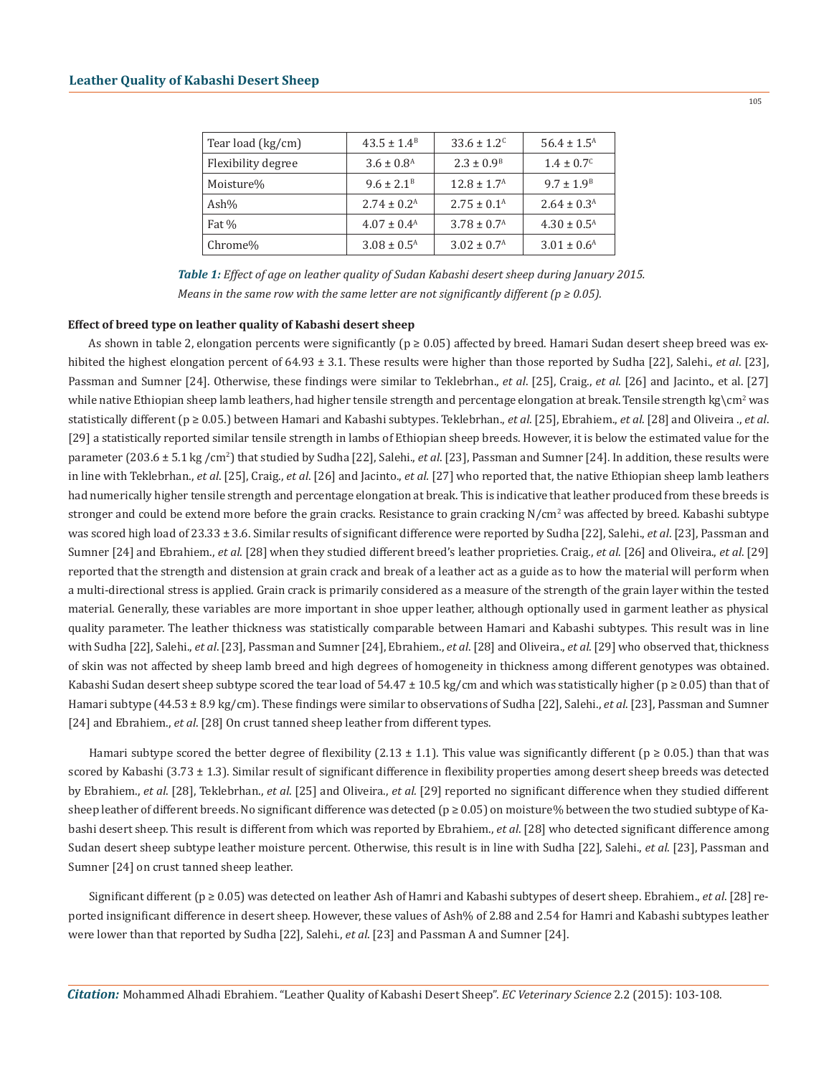| Tear load (kg/cm)  | $43.5 \pm 1.4^B$           | $33.6 \pm 1.2^c$          | $56.4 \pm 1.5^{\text{A}}$ |
|--------------------|----------------------------|---------------------------|---------------------------|
| Flexibility degree | $3.6 \pm 0.8$ <sup>A</sup> | $2.3 \pm 0.9^{\circ}$     | $1.4 \pm 0.7^{\circ}$     |
| Moisture%          | $9.6 \pm 2.1^{\circ}$      | $12.8 \pm 1.7^{\rm A}$    | $9.7 \pm 1.9^{\text{B}}$  |
| Ash $%$            | $2.74 \pm 0.2^{\rm A}$     | $2.75 \pm 0.1^{\text{A}}$ | $2.64 \pm 0.3^{\text{A}}$ |
| Fat $%$            | $4.07 \pm 0.4^{\text{A}}$  | $3.78 \pm 0.7^{\rm A}$    | $4.30 \pm 0.5^{\text{A}}$ |
| Chrome%            | $3.08 \pm 0.5^{\text{A}}$  | $3.02 \pm 0.7^{\rm A}$    | $3.01 \pm 0.6^{\text{A}}$ |

*Table 1: Effect of age on leather quality of Sudan Kabashi desert sheep during January 2015. Means in the same row with the same letter are not significantly different (* $p \ge 0.05$ *).* 

#### **Effect of breed type on leather quality of Kabashi desert sheep**

As shown in table 2, elongation percents were significantly ( $p \ge 0.05$ ) affected by breed. Hamari Sudan desert sheep breed was exhibited the highest elongation percent of 64.93 ± 3.1. These results were higher than those reported by Sudha [22], Salehi., *et al*. [23], Passman and Sumner [24]. Otherwise, these findings were similar to Teklebrhan., *et al*. [25], Craig., *et al*. [26] and Jacinto., et al. [27] while native Ethiopian sheep lamb leathers, had higher tensile strength and percentage elongation at break. Tensile strength kg∖cm² was statistically different (p ≥ 0.05.) between Hamari and Kabashi subtypes. Teklebrhan., *et al*. [25], Ebrahiem., *et al*. [28] and Oliveira ., *et al*. [29] a statistically reported similar tensile strength in lambs of Ethiopian sheep breeds. However, it is below the estimated value for the parameter (203.6 ± 5.1 kg /cm<sup>2</sup> ) that studied by Sudha [22], Salehi., *et al*. [23], Passman and Sumner [24]. In addition, these results were in line with Teklebrhan., *et al*. [25], Craig., *et al*. [26] and Jacinto., *et al.* [27] who reported that, the native Ethiopian sheep lamb leathers had numerically higher tensile strength and percentage elongation at break. This is indicative that leather produced from these breeds is stronger and could be extend more before the grain cracks. Resistance to grain cracking N/cm<sup>2</sup> was affected by breed. Kabashi subtype was scored high load of 23.33 ± 3.6. Similar results of significant difference were reported by Sudha [22], Salehi., *et al*. [23], Passman and Sumner [24] and Ebrahiem., *et al*. [28] when they studied different breed's leather proprieties. Craig., *et al*. [26] and Oliveira., *et al*. [29] reported that the strength and distension at grain crack and break of a leather act as a guide as to how the material will perform when a multi-directional stress is applied. Grain crack is primarily considered as a measure of the strength of the grain layer within the tested material. Generally, these variables are more important in shoe upper leather, although optionally used in garment leather as physical quality parameter. The leather thickness was statistically comparable between Hamari and Kabashi subtypes. This result was in line with Sudha [22], Salehi., *et al*. [23], Passman and Sumner [24], Ebrahiem., *et al*. [28] and Oliveira., *et al*. [29] who observed that, thickness of skin was not affected by sheep lamb breed and high degrees of homogeneity in thickness among different genotypes was obtained. Kabashi Sudan desert sheep subtype scored the tear load of  $54.47 \pm 10.5$  kg/cm and which was statistically higher ( $p \ge 0.05$ ) than that of Hamari subtype (44.53 ± 8.9 kg/cm). These findings were similar to observations of Sudha [22], Salehi., *et al*. [23], Passman and Sumner [24] and Ebrahiem., *et al*. [28] On crust tanned sheep leather from different types.

Hamari subtype scored the better degree of flexibility (2.13  $\pm$  1.1). This value was significantly different (p  $\geq$  0.05.) than that was scored by Kabashi (3.73  $\pm$  1.3). Similar result of significant difference in flexibility properties among desert sheep breeds was detected by Ebrahiem., *et al*. [28], Teklebrhan., *et al*. [25] and Oliveira., *et al.* [29] reported no significant difference when they studied different sheep leather of different breeds. No significant difference was detected (p ≥ 0.05) on moisture% between the two studied subtype of Kabashi desert sheep. This result is different from which was reported by Ebrahiem., *et al*. [28] who detected significant difference among Sudan desert sheep subtype leather moisture percent. Otherwise, this result is in line with Sudha [22], Salehi., *et al*. [23], Passman and Sumner [24] on crust tanned sheep leather.

Significant different (p ≥ 0.05) was detected on leather Ash of Hamri and Kabashi subtypes of desert sheep. Ebrahiem., *et al*. [28] reported insignificant difference in desert sheep. However, these values of Ash% of 2.88 and 2.54 for Hamri and Kabashi subtypes leather were lower than that reported by Sudha [22], Salehi., *et al*. [23] and Passman A and Sumner [24].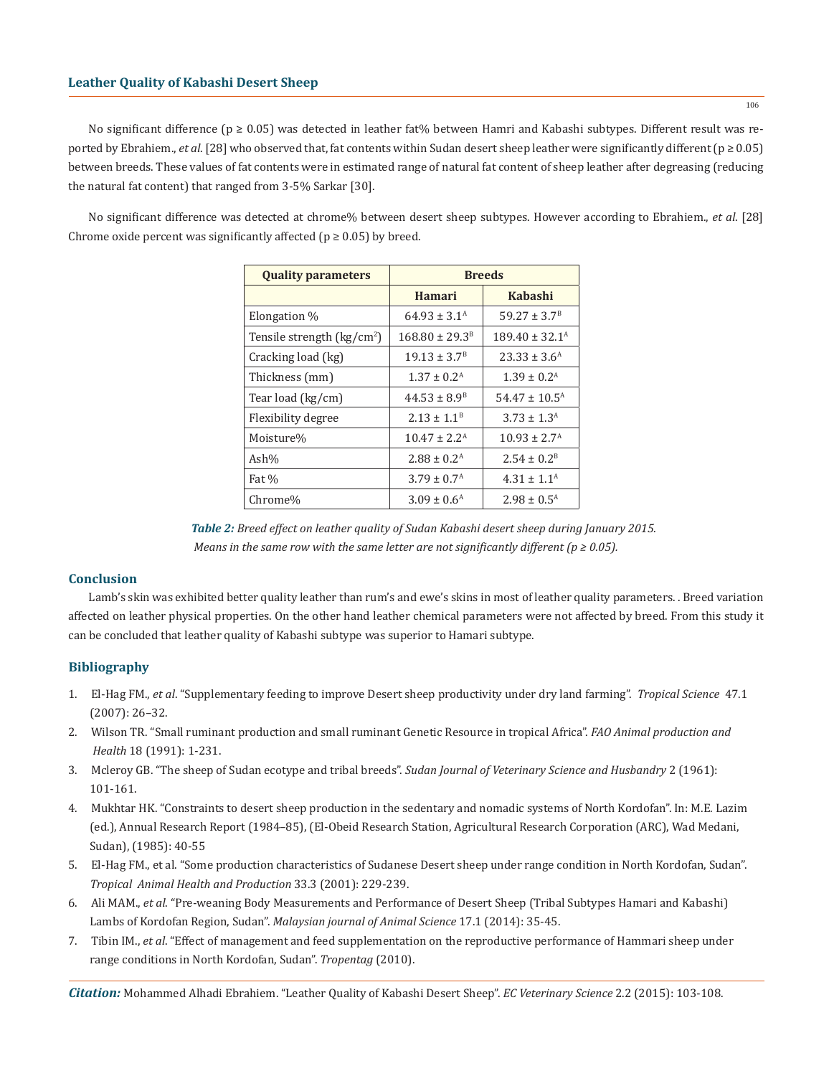No significant difference ( $p \ge 0.05$ ) was detected in leather fat% between Hamri and Kabashi subtypes. Different result was reported by Ebrahiem., *et al.* [28] who observed that, fat contents within Sudan desert sheep leather were significantly different (p ≥ 0.05) between breeds. These values of fat contents were in estimated range of natural fat content of sheep leather after degreasing (reducing the natural fat content) that ranged from 3-5% Sarkar [30].

No significant difference was detected at chrome% between desert sheep subtypes. However according to Ebrahiem., *et al*. [28] Chrome oxide percent was significantly affected ( $p \ge 0.05$ ) by breed.

| <b>Quality parameters</b>          | <b>Breeds</b>                |                              |
|------------------------------------|------------------------------|------------------------------|
|                                    | <b>Hamari</b>                | Kabashi                      |
| Elongation %                       | $64.93 \pm 3.1^{\text{A}}$   | $59.27 \pm 3.7^B$            |
| Tensile strength $\frac{kg}{cm^2}$ | $168.80 \pm 29.3^{\text{B}}$ | $189.40 \pm 32.1^{\text{A}}$ |
| Cracking load (kg)                 | $19.13 \pm 3.7^B$            | $23.33 \pm 3.6^{\rm A}$      |
| Thickness (mm)                     | $1.37 \pm 0.2^{\rm A}$       | $1.39 \pm 0.2^{\text{A}}$    |
| Tear load (kg/cm)                  | $44.53 \pm 8.9^{\circ}$      | $54.47 \pm 10.5^{\text{A}}$  |
| Flexibility degree                 | $2.13 \pm 1.1^B$             | $3.73 \pm 1.3^{\rm A}$       |
| Moisture%                          | $10.47 \pm 2.2^{\text{A}}$   | $10.93 \pm 2.7^{\text{A}}$   |
| Ash $%$                            | $2.88 \pm 0.2^{\text{A}}$    | $2.54 \pm 0.2^B$             |
| Fat %                              | $3.79 \pm 0.7^{\rm A}$       | $4.31 + 1.1A$                |
| Chrome%                            | $3.09 \pm 0.6^{\rm A}$       | $2.98 \pm 0.5^{\text{A}}$    |

*Table 2: Breed effect on leather quality of Sudan Kabashi desert sheep during January 2015. Means in the same row with the same letter are not significantly different (p*  $\geq 0.05$ *).* 

# **Conclusion**

Lamb's skin was exhibited better quality leather than rum's and ewe's skins in most of leather quality parameters. . Breed variation affected on leather physical properties. On the other hand leather chemical parameters were not affected by breed. From this study it can be concluded that leather quality of Kabashi subtype was superior to Hamari subtype.

# **Bibliography**

- 1. El-Hag FM., *et al*. "Supplementary feeding to improve Desert sheep productivity under dry land farming". *Tropical Science* 47.1 (2007): 26–32.
- 2. Wilson TR. "Small ruminant production and small ruminant Genetic Resource in tropical Africa". *FAO Animal production and Health* 18 (1991): 1-231.
- 3. Mcleroy GB. "The sheep of Sudan ecotype and tribal breeds". *Sudan Journal of Veterinary Science and Husbandry* 2 (1961): 101-161.
- 4. Mukhtar HK. "Constraints to desert sheep production in the sedentary and nomadic systems of North Kordofan". In: M.E. Lazim (ed.), Annual Research Report (1984–85), (El-Obeid Research Station, Agricultural Research Corporation (ARC), Wad Medani, Sudan), (1985): 40-55
- 5. El-Hag FM., et al. "Some production characteristics of Sudanese Desert sheep under range condition in North Kordofan, Sudan". *Tropical Animal Health and Production* 33.3 (2001): 229-239.
- 6. Ali MAM., *et al*. "Pre-weaning Body Measurements and Performance of Desert Sheep (Tribal Subtypes Hamari and Kabashi) Lambs of Kordofan Region, Sudan". *Malaysian journal of Animal Science* 17.1 (2014): 35-45.
- 7. Tibin IM., *et al*. "Effect of management and feed supplementation on the reproductive performance of Hammari sheep under range conditions in North Kordofan, Sudan". *Tropentag* (2010).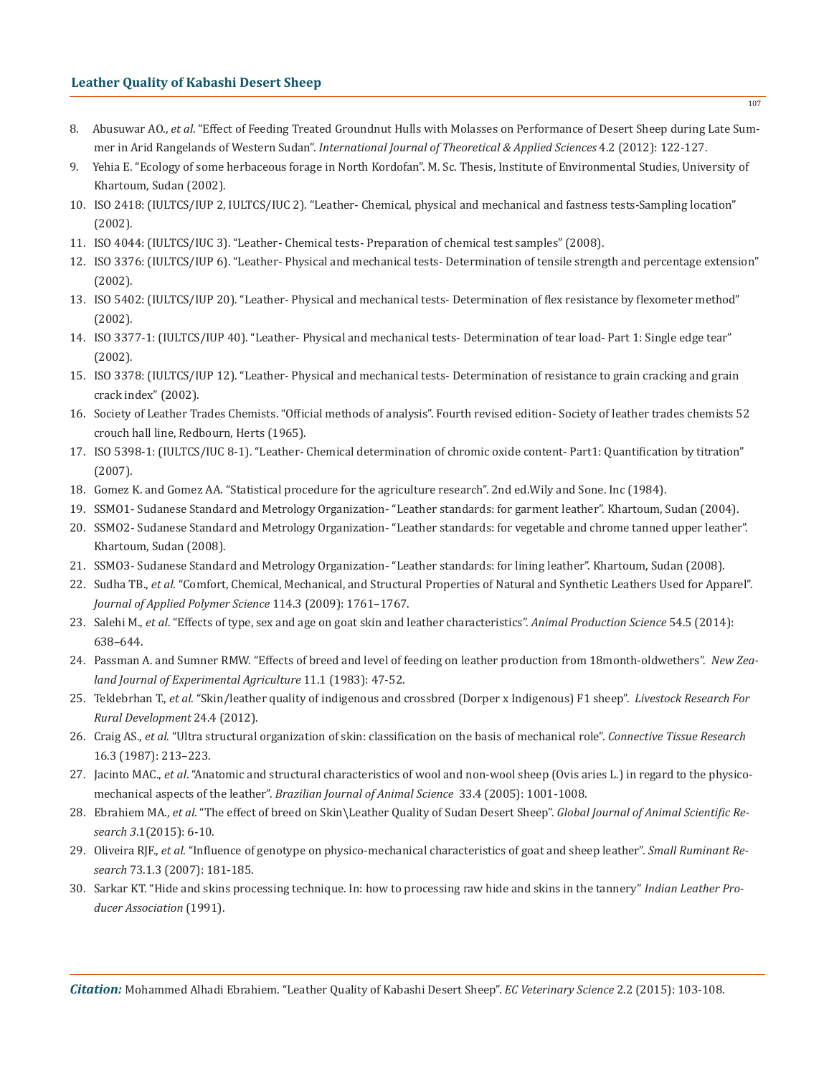# **Leather Quality of Kabashi Desert Sheep**

- 8. Abusuwar AO., *et al*. "Effect of Feeding Treated Groundnut Hulls with Molasses on Performance of Desert Sheep during Late Sum mer in Arid Rangelands of Western Sudan". *International Journal of Theoretical & Applied Sciences* 4.2 (2012): 122-127.
- 9. Yehia E. "Ecology of some herbaceous forage in North Kordofan". M. Sc. Thesis, Institute of Environmental Studies, University of Khartoum, Sudan (2002).
- 10. ISO 2418: (IULTCS/IUP 2, IULTCS/IUC 2). "Leather- Chemical, physical and mechanical and fastness tests-Sampling location" (2002).
- 11. ISO 4044: (IULTCS/IUC 3). "Leather- Chemical tests- Preparation of chemical test samples" (2008).
- 12. ISO 3376: (IULTCS/IUP 6). "Leather- Physical and mechanical tests- Determination of tensile strength and percentage extension" (2002).
- 13. ISO 5402: (IULTCS/IUP 20). "Leather- Physical and mechanical tests- Determination of flex resistance by flexometer method" (2002).
- 14. ISO 3377-1: (IULTCS/IUP 40). "Leather- Physical and mechanical tests- Determination of tear load- Part 1: Single edge tear" (2002).
- 15. ISO 3378: (IULTCS/IUP 12). "Leather- Physical and mechanical tests- Determination of resistance to grain cracking and grain crack index" (2002).
- 16. Society of Leather Trades Chemists. "Official methods of analysis". Fourth revised edition- Society of leather trades chemists 52 crouch hall line, Redbourn, Herts (1965).
- 17. ISO 5398-1: (IULTCS/IUC 8-1). "Leather- Chemical determination of chromic oxide content- Part1: Quantification by titration" (2007).
- 18. Gomez K. and Gomez AA. "Statistical procedure for the agriculture research". 2nd ed.Wily and Sone. Inc (1984).
- 19. SSMO1- Sudanese Standard and Metrology Organization- "Leather standards: for garment leather". Khartoum, Sudan (2004).
- 20. SSMO2- Sudanese Standard and Metrology Organization- "Leather standards: for vegetable and chrome tanned upper leather". Khartoum, Sudan (2008).
- 21. SSMO3- Sudanese Standard and Metrology Organization- "Leather standards: for lining leather". Khartoum, Sudan (2008).
- 22. Sudha TB., *et al.* "Comfort, Chemical, Mechanical, and Structural Properties of Natural and Synthetic Leathers Used for Apparel". *Journal of Applied Polymer Science* 114.3 (2009): 1761–1767.
- 23. Salehi M., *et al*. "Effects of type, sex and age on goat skin and leather characteristics". *Animal Production Science* 54.5 (2014): 638–644.
- 24. Passman A. and Sumner RMW. "Effects of breed and level of feeding on leather production from 18month-oldwethers". *New Zea land Journal of Experimental Agriculture* 11.1 (1983): 47-52.
- 25. Teklebrhan T., *et al*. "Skin/leather quality of indigenous and crossbred (Dorper x Indigenous) F1 sheep". *Livestock Research For Rural Development* 24.4 (2012).
- 26. Craig AS., *et al*. "Ultra structural organization of skin: classification on the basis of mechanical role". *Connective Tissue Research* 16.3 (1987): 213–223.
- 27. Jacinto MAC., *et al*. "Anatomic and structural characteristics of wool and non-wool sheep (Ovis aries L.) in regard to the physico mechanical aspects of the leather". *Brazilian Journal of Animal Science* 33.4 (2005): 1001-1008.
- 28. Ebrahiem MA., *et al*. "The effect of breed on Skin\Leather Quality of Sudan Desert Sheep". *Global Journal of Animal Scientific Re search 3*.1(2015): 6-10.
- 29. Oliveira RJF., *et al*. "Influence of genotype on physico-mechanical characteristics of goat and sheep leather". *Small Ruminant Re search* 73.1.3 (2007): 181-185.
- 30. Sarkar KT. "Hide and skins processing technique. In: how to processing raw hide and skins in the tannery" *Indian Leather Pro ducer Association* (1991).